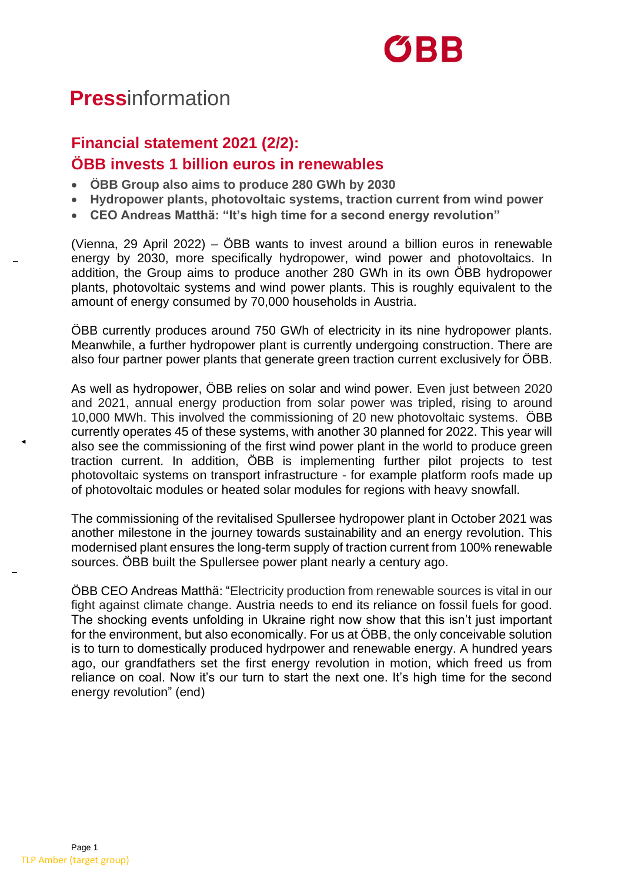

## **Press**information

## **Financial statement 2021 (2/2): ÖBB invests 1 billion euros in renewables**

- **ÖBB Group also aims to produce 280 GWh by 2030**
- **Hydropower plants, photovoltaic systems, traction current from wind power**
- **CEO Andreas Matthä: "It's high time for a second energy revolution"**

(Vienna, 29 April 2022) – ÖBB wants to invest around a billion euros in renewable energy by 2030, more specifically hydropower, wind power and photovoltaics. In addition, the Group aims to produce another 280 GWh in its own ÖBB hydropower plants, photovoltaic systems and wind power plants. This is roughly equivalent to the amount of energy consumed by 70,000 households in Austria.

ÖBB currently produces around 750 GWh of electricity in its nine hydropower plants. Meanwhile, a further hydropower plant is currently undergoing construction. There are also four partner power plants that generate green traction current exclusively for ÖBB.

As well as hydropower, ÖBB relies on solar and wind power. Even just between 2020 and 2021, annual energy production from solar power was tripled, rising to around 10,000 MWh. This involved the commissioning of 20 new photovoltaic systems. ÖBB currently operates 45 of these systems, with another 30 planned for 2022. This year will also see the commissioning of the first wind power plant in the world to produce green traction current. In addition, ÖBB is implementing further pilot projects to test photovoltaic systems on transport infrastructure - for example platform roofs made up of photovoltaic modules or heated solar modules for regions with heavy snowfall.

The commissioning of the revitalised Spullersee hydropower plant in October 2021 was another milestone in the journey towards sustainability and an energy revolution. This modernised plant ensures the long-term supply of traction current from 100% renewable sources. ÖBB built the Spullersee power plant nearly a century ago.

ÖBB CEO Andreas Matthä: "Electricity production from renewable sources is vital in our fight against climate change. Austria needs to end its reliance on fossil fuels for good. The shocking events unfolding in Ukraine right now show that this isn't just important for the environment, but also economically. For us at ÖBB, the only conceivable solution is to turn to domestically produced hydrpower and renewable energy. A hundred years ago, our grandfathers set the first energy revolution in motion, which freed us from reliance on coal. Now it's our turn to start the next one. It's high time for the second energy revolution" (end)